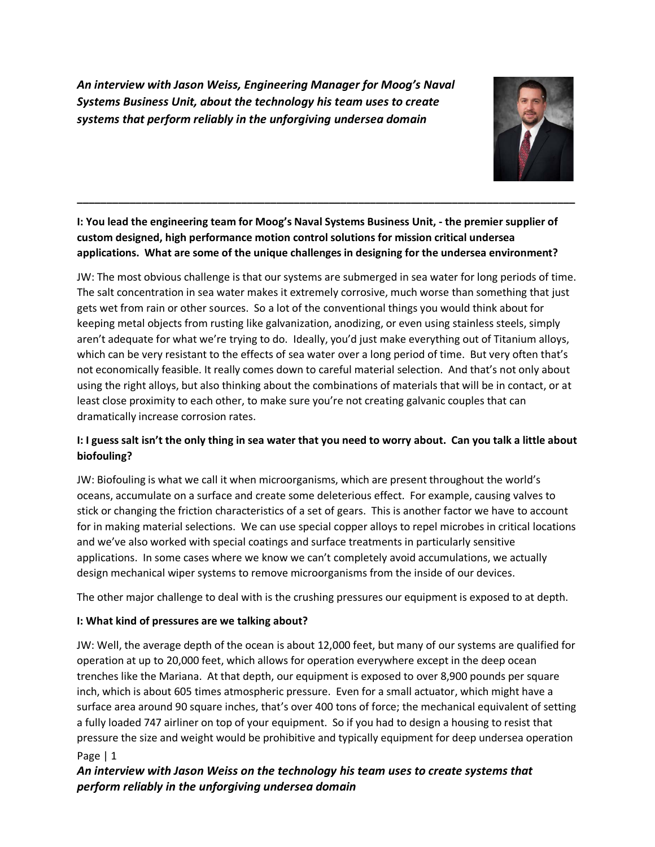*An interview with Jason Weiss, Engineering Manager for Moog's Naval Systems Business Unit, about the technology his team uses to create systems that perform reliably in the unforgiving undersea domain*



**I: You lead the engineering team for Moog's Naval Systems Business Unit, - the premier supplier of custom designed, high performance motion control solutions for mission critical undersea applications. What are some of the unique challenges in designing for the undersea environment?**

**\_\_\_\_\_\_\_\_\_\_\_\_\_\_\_\_\_\_\_\_\_\_\_\_\_\_\_\_\_\_\_\_\_\_\_\_\_\_\_\_\_\_\_\_\_\_\_\_\_\_\_\_\_\_\_\_\_\_\_\_\_\_\_\_\_\_\_\_\_\_\_\_\_\_\_\_\_\_\_\_\_\_\_\_\_**

JW: The most obvious challenge is that our systems are submerged in sea water for long periods of time. The salt concentration in sea water makes it extremely corrosive, much worse than something that just gets wet from rain or other sources. So a lot of the conventional things you would think about for keeping metal objects from rusting like galvanization, anodizing, or even using stainless steels, simply aren't adequate for what we're trying to do. Ideally, you'd just make everything out of Titanium alloys, which can be very resistant to the effects of sea water over a long period of time. But very often that's not economically feasible. It really comes down to careful material selection. And that's not only about using the right alloys, but also thinking about the combinations of materials that will be in contact, or at least close proximity to each other, to make sure you're not creating galvanic couples that can dramatically increase corrosion rates.

# **I: I guess salt isn't the only thing in sea water that you need to worry about. Can you talk a little about biofouling?**

JW: Biofouling is what we call it when microorganisms, which are present throughout the world's oceans, accumulate on a surface and create some deleterious effect. For example, causing valves to stick or changing the friction characteristics of a set of gears. This is another factor we have to account for in making material selections. We can use special copper alloys to repel microbes in critical locations and we've also worked with special coatings and surface treatments in particularly sensitive applications. In some cases where we know we can't completely avoid accumulations, we actually design mechanical wiper systems to remove microorganisms from the inside of our devices.

The other major challenge to deal with is the crushing pressures our equipment is exposed to at depth.

# **I: What kind of pressures are we talking about?**

JW: Well, the average depth of the ocean is about 12,000 feet, but many of our systems are qualified for operation at up to 20,000 feet, which allows for operation everywhere except in the deep ocean trenches like the Mariana. At that depth, our equipment is exposed to over 8,900 pounds per square inch, which is about 605 times atmospheric pressure. Even for a small actuator, which might have a surface area around 90 square inches, that's over 400 tons of force; the mechanical equivalent of setting a fully loaded 747 airliner on top of your equipment. So if you had to design a housing to resist that pressure the size and weight would be prohibitive and typically equipment for deep undersea operation Page | 1

# *An interview with Jason Weiss on the technology his team uses to create systems that perform reliably in the unforgiving undersea domain*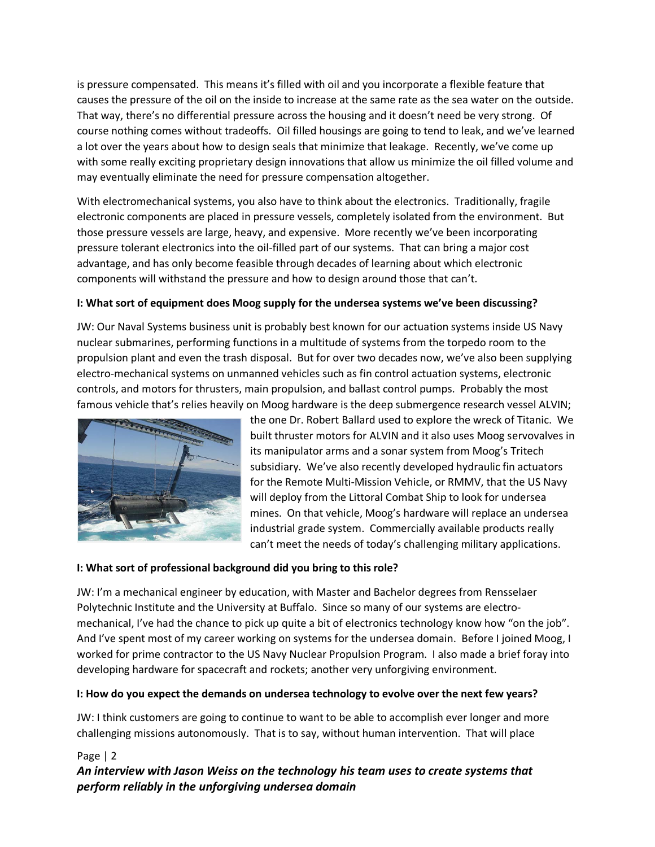is pressure compensated. This means it's filled with oil and you incorporate a flexible feature that causes the pressure of the oil on the inside to increase at the same rate as the sea water on the outside. That way, there's no differential pressure across the housing and it doesn't need be very strong. Of course nothing comes without tradeoffs. Oil filled housings are going to tend to leak, and we've learned a lot over the years about how to design seals that minimize that leakage. Recently, we've come up with some really exciting proprietary design innovations that allow us minimize the oil filled volume and may eventually eliminate the need for pressure compensation altogether.

With electromechanical systems, you also have to think about the electronics. Traditionally, fragile electronic components are placed in pressure vessels, completely isolated from the environment. But those pressure vessels are large, heavy, and expensive. More recently we've been incorporating pressure tolerant electronics into the oil-filled part of our systems. That can bring a major cost advantage, and has only become feasible through decades of learning about which electronic components will withstand the pressure and how to design around those that can't.

### **I: What sort of equipment does Moog supply for the undersea systems we've been discussing?**

JW: Our Naval Systems business unit is probably best known for our actuation systems inside US Navy nuclear submarines, performing functions in a multitude of systems from the torpedo room to the propulsion plant and even the trash disposal. But for over two decades now, we've also been supplying electro-mechanical systems on unmanned vehicles such as fin control actuation systems, electronic controls, and motors for thrusters, main propulsion, and ballast control pumps. Probably the most famous vehicle that's relies heavily on Moog hardware is the deep submergence research vessel ALVIN;



the one Dr. Robert Ballard used to explore the wreck of Titanic. We built thruster motors for ALVIN and it also uses Moog servovalves in its manipulator arms and a sonar system from Moog's Tritech subsidiary. We've also recently developed hydraulic fin actuators for the Remote Multi-Mission Vehicle, or RMMV, that the US Navy will deploy from the Littoral Combat Ship to look for undersea mines. On that vehicle, Moog's hardware will replace an undersea industrial grade system. Commercially available products really can't meet the needs of today's challenging military applications.

### **I: What sort of professional background did you bring to this role?**

JW: I'm a mechanical engineer by education, with Master and Bachelor degrees from Rensselaer Polytechnic Institute and the University at Buffalo. Since so many of our systems are electromechanical, I've had the chance to pick up quite a bit of electronics technology know how "on the job". And I've spent most of my career working on systems for the undersea domain. Before I joined Moog, I worked for prime contractor to the US Navy Nuclear Propulsion Program. I also made a brief foray into developing hardware for spacecraft and rockets; another very unforgiving environment.

### **I: How do you expect the demands on undersea technology to evolve over the next few years?**

JW: I think customers are going to continue to want to be able to accomplish ever longer and more challenging missions autonomously. That is to say, without human intervention. That will place

# Page | 2 *An interview with Jason Weiss on the technology his team uses to create systems that perform reliably in the unforgiving undersea domain*